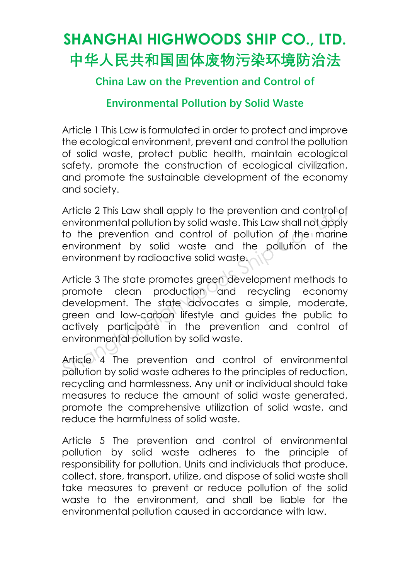#### **SHANGHAI HIGHWOODS SHIP CO., LTD. 中华人民共和国固体废物污染环境防治法**

**China Law on the Prevention and Control of** 

**Environmental Pollution by Solid Waste**

Article 1 This Law is formulated in order to protect and improve the ecological environment, prevent and control the pollution of solid waste, protect public health, maintain ecological safety, promote the construction of ecological civilization, and promote the sustainable development of the economy and society.

Article 2 This Law shall apply to the prevention and control of environmental pollution by solid waste. This Law shall not apply to the prevention and control of pollution of the marine environment by solid waste and the pollution of the environment by radioactive solid waste.

Article 3 The state promotes green development methods to promote clean production and recycling economy development. The state advocates a simple, moderate, green and low-carbon lifestyle and guides the public to actively participate in the prevention and control of environmental pollution by solid waste. Article 2 This Law shall apply to the prevention and control of<br>environmental pollution by solid waste. This Law shall not apply<br>to the prevention and control of pollution of the marine<br>environment by solid waste and the p

Article 4 The prevention and control of environmental pollution by solid waste adheres to the principles of reduction, recycling and harmlessness. Any unit or individual should take measures to reduce the amount of solid waste generated, promote the comprehensive utilization of solid waste, and reduce the harmfulness of solid waste.

Article 5 The prevention and control of environmental pollution by solid waste adheres to the principle of responsibility for pollution. Units and individuals that produce, collect, store, transport, utilize, and dispose of solid waste shall take measures to prevent or reduce pollution of the solid waste to the environment, and shall be liable for the environmental pollution caused in accordance with law.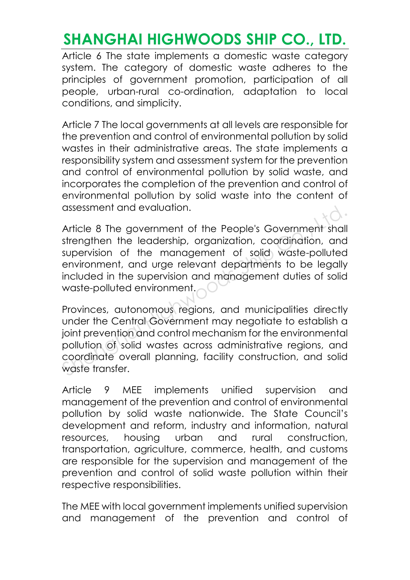Article 6 The state implements a domestic waste category system. The category of domestic waste adheres to the principles of government promotion, participation of all people, urban-rural co-ordination, adaptation to local conditions, and simplicity.

Article 7 The local governments at all levels are responsible for the prevention and control of environmental pollution by solid wastes in their administrative areas. The state implements a responsibility system and assessment system for the prevention and control of environmental pollution by solid waste, and incorporates the completion of the prevention and control of environmental pollution by solid waste into the content of assessment and evaluation.

Article 8 The government of the People's Government shall strengthen the leadership, organization, coordination, and supervision of the management of solid waste-polluted environment, and urge relevant departments to be legally included in the supervision and management duties of solid waste-polluted environment. disessment and evaluation.<br>
Article 8 The government of the People's Government shall<br>
strengthen the leadership, organization, coordination, and<br>
supervision of the management of solid waste-polluted<br>
environment, and urg

Provinces, autonomous regions, and municipalities directly under the Central Government may negotiate to establish a joint prevention and control mechanism for the environmental pollution of solid wastes across administrative regions, and coordinate overall planning, facility construction, and solid waste transfer.

Article 9 MEE implements unified supervision and management of the prevention and control of environmental pollution by solid waste nationwide. The State Council's development and reform, industry and information, natural resources, housing urban and rural construction, transportation, agriculture, commerce, health, and customs are responsible for the supervision and management of the prevention and control of solid waste pollution within their respective responsibilities.

The MEE with local government implements unified supervision and management of the prevention and control of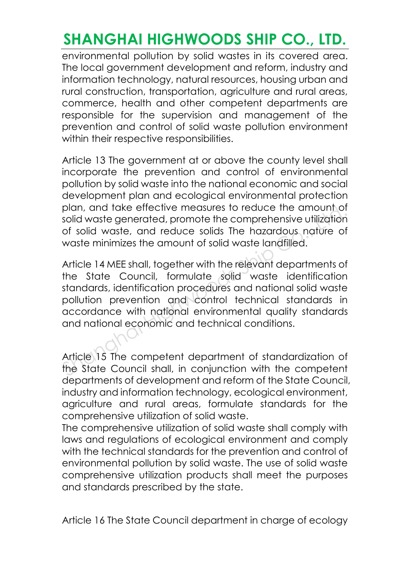environmental pollution by solid wastes in its covered area. The local government development and reform, industry and information technology, natural resources, housing urban and rural construction, transportation, agriculture and rural areas, commerce, health and other competent departments are responsible for the supervision and management of the prevention and control of solid waste pollution environment within their respective responsibilities.

Article 13 The government at or above the county level shall incorporate the prevention and control of environmental pollution by solid waste into the national economic and social development plan and ecological environmental protection plan, and take effective measures to reduce the amount of solid waste generated, promote the comprehensive utilization of solid waste, and reduce solids The hazardous nature of waste minimizes the amount of solid waste landfilled.

Article 14 MEE shall, together with the relevant departments of the State Council, formulate solid waste identification standards, identification procedures and national solid waste pollution prevention and control technical standards in accordance with national environmental quality standards and national economic and technical conditions. plan, and take ettective measures to reduce the amount of solid waste generated, promote the comprehensive utilization of solid waste, and reduce solids The hazardous nature of waste minimizes the amount of solid waste lan

Article 15 The competent department of standardization of the State Council shall, in conjunction with the competent departments of development and reform of the State Council, industry and information technology, ecological environment, agriculture and rural areas, formulate standards for the comprehensive utilization of solid waste.

The comprehensive utilization of solid waste shall comply with laws and regulations of ecological environment and comply with the technical standards for the prevention and control of environmental pollution by solid waste. The use of solid waste comprehensive utilization products shall meet the purposes and standards prescribed by the state.

Article 16 The State Council department in charge of ecology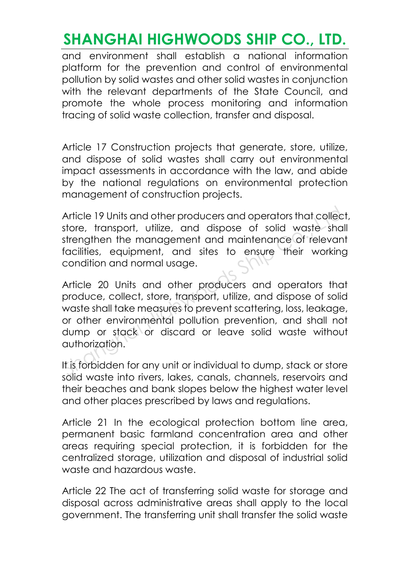and environment shall establish a national information platform for the prevention and control of environmental pollution by solid wastes and other solid wastes in conjunction with the relevant departments of the State Council, and promote the whole process monitoring and information tracing of solid waste collection, transfer and disposal.

Article 17 Construction projects that generate, store, utilize, and dispose of solid wastes shall carry out environmental impact assessments in accordance with the law, and abide by the national regulations on environmental protection management of construction projects.

Article 19 Units and other producers and operators that collect, store, transport, utilize, and dispose of solid waste shall strengthen the management and maintenance of relevant facilities, equipment, and sites to ensure their working condition and normal usage.

Article 20 Units and other producers and operators that produce, collect, store, transport, utilize, and dispose of solid waste shall take measures to prevent scattering, loss, leakage, or other environmental pollution prevention, and shall not dump or stack or discard or leave solid waste without authorization. Article 19 Units and other producers and operators that collect<br>store, transport, utilize, and dispose of solid waste shall<br>strengthen the management and maintenance of relevant<br>facilities, equipment, and sites to ensure t

It is forbidden for any unit or individual to dump, stack or store solid waste into rivers, lakes, canals, channels, reservoirs and their beaches and bank slopes below the highest water level and other places prescribed by laws and regulations.

Article 21 In the ecological protection bottom line greg. permanent basic farmland concentration area and other areas requiring special protection, it is forbidden for the centralized storage, utilization and disposal of industrial solid waste and hazardous waste.

Article 22 The act of transferring solid waste for storage and disposal across administrative areas shall apply to the local government. The transferring unit shall transfer the solid waste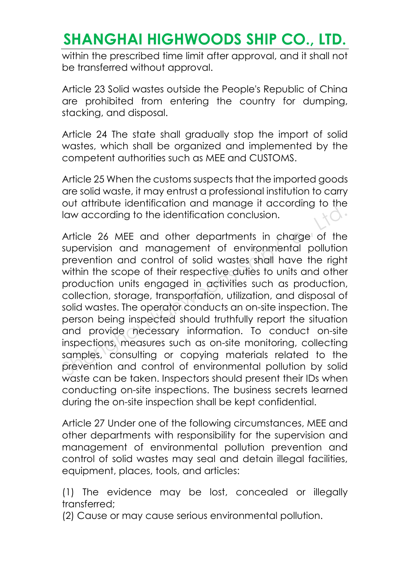within the prescribed time limit after approval, and it shall not be transferred without approval.

Article 23 Solid wastes outside the People's Republic of China are prohibited from entering the country for dumping, stacking, and disposal.

Article 24 The state shall gradually stop the import of solid wastes, which shall be organized and implemented by the competent authorities such as MEE and CUSTOMS.

Article 25 When the customs suspects that the imported goods are solid waste, it may entrust a professional institution to carry out attribute identification and manage it according to the law according to the identification conclusion.

Article 26 MEE and other departments in charge of the supervision and management of environmental pollution prevention and control of solid wastes shall have the right within the scope of their respective duties to units and other production units engaged in activities such as production, collection, storage, transportation, utilization, and disposal of solid wastes. The operator conducts an on-site inspection. The person being inspected should truthfully report the situation and provide necessary information. To conduct on-site inspections, measures such as on-site monitoring, collecting samples, consulting or copying materials related to the prevention and control of environmental pollution by solid waste can be taken. Inspectors should present their IDs when conducting on-site inspections. The business secrets learned during the on-site inspection shall be kept confidential. Solid water and other departmental management of the supervision.<br>Article 26 MEE and other departments in charge of the supervision and management of environmental pollution<br>prevention and control of solid wastes shall hav

Article 27 Under one of the following circumstances, MEE and other departments with responsibility for the supervision and management of environmental pollution prevention and control of solid wastes may seal and detain illegal facilities, equipment, places, tools, and articles:

(1) The evidence may be lost, concealed or illegally transferred;

(2) Cause or may cause serious environmental pollution.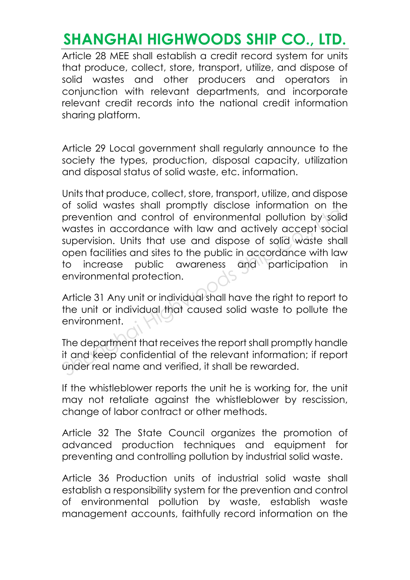Article 28 MEE shall establish a credit record system for units that produce, collect, store, transport, utilize, and dispose of solid wastes and other producers and operators in conjunction with relevant departments, and incorporate relevant credit records into the national credit information sharing platform.

Article 29 Local government shall regularly announce to the society the types, production, disposal capacity, utilization and disposal status of solid waste, etc. information.

Units that produce, collect, store, transport, utilize, and dispose of solid wastes shall promptly disclose information on the prevention and control of environmental pollution by solid wastes in accordance with law and actively accept social supervision. Units that use and dispose of solid waste shall open facilities and sites to the public in accordance with law to increase public awareness and participation in environmental protection. or solid wastes shall profiliply disclose immutation on the<br>prevention and control of environmental pollution by solid<br>wastes in accordance with law and actively accept social<br>supervision. Units that use and dispose of sol

Article 31 Any unit or individual shall have the right to report to the unit or individual that caused solid waste to pollute the environment.

The department that receives the report shall promptly handle it and keep confidential of the relevant information; if report under real name and verified, it shall be rewarded.

If the whistleblower reports the unit he is working for, the unit may not retaliate against the whistleblower by rescission, change of labor contract or other methods.

Article 32 The State Council organizes the promotion of advanced production techniques and equipment for preventing and controlling pollution by industrial solid waste.

Article 36 Production units of industrial solid waste shall establish a responsibility system for the prevention and control of environmental pollution by waste, establish waste management accounts, faithfully record information on the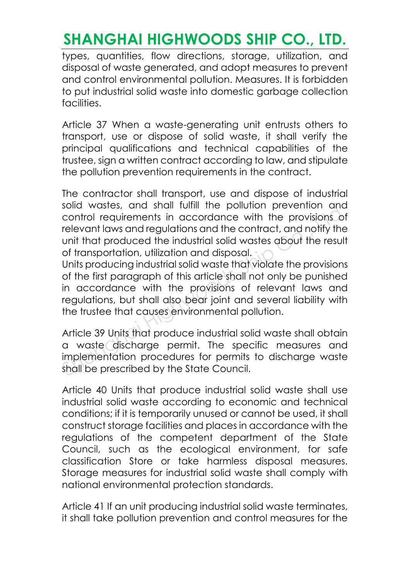types, quantities, flow directions, storage, utilization, and disposal of waste generated, and adopt measures to prevent and control environmental pollution. Measures. It is forbidden to put industrial solid waste into domestic garbage collection facilities.

Article 37 When a waste-generating unit entrusts others to transport, use or dispose of solid waste, it shall verify the principal qualifications and technical capabilities of the trustee, sign a written contract according to law, and stipulate the pollution prevention requirements in the contract.

The contractor shall transport, use and dispose of industrial solid wastes, and shall fulfill the pollution prevention and control requirements in accordance with the provisions of relevant laws and regulations and the contract, and notify the unit that produced the industrial solid wastes about the result of transportation, utilization and disposal.

Units producing industrial solid waste that violate the provisions of the first paragraph of this article shall not only be punished in accordance with the provisions of relevant laws and regulations, but shall also bear joint and several liability with the trustee that causes environmental pollution. Shid wastes, and shall foll in the pollotion prevention and control requirements in accordance with the provisions of relevant laws and regulations and the contract, and notify the unit that produced the industrial solid w

Article 39 Units that produce industrial solid waste shall obtain a waste discharge permit. The specific measures and implementation procedures for permits to discharge waste shall be prescribed by the State Council.

Article 40 Units that produce industrial solid waste shall use industrial solid waste according to economic and technical conditions; if it is temporarily unused or cannot be used, it shall construct storage facilities and places in accordance with the regulations of the competent department of the State Council, such as the ecological environment, for safe classification Store or take harmless disposal measures. Storage measures for industrial solid waste shall comply with national environmental protection standards.

Article 41 If an unit producing industrial solid waste terminates, it shall take pollution prevention and control measures for the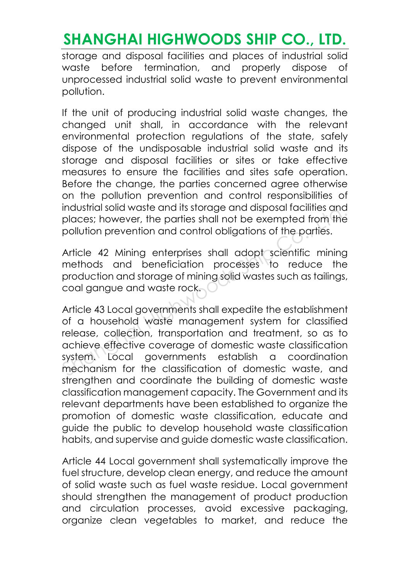storage and disposal facilities and places of industrial solid waste before termination, and properly dispose of unprocessed industrial solid waste to prevent environmental pollution.

If the unit of producing industrial solid waste changes, the changed unit shall, in accordance with the relevant environmental protection regulations of the state, safely dispose of the undisposable industrial solid waste and its storage and disposal facilities or sites or take effective measures to ensure the facilities and sites safe operation. Before the change, the parties concerned agree otherwise on the pollution prevention and control responsibilities of industrial solid waste and its storage and disposal facilities and places; however, the parties shall not be exempted from the pollution prevention and control obligations of the parties.

Article 42 Mining enterprises shall adopt scientific mining methods and beneficiation processes to reduce the production and storage of mining solid wastes such as tailings, coal gangue and waste rock.

Article 43 Local governments shall expedite the establishment of a household waste management system for classified release, collection, transportation and treatment, so as to achieve effective coverage of domestic waste classification system. Local governments establish a coordination mechanism for the classification of domestic waste, and strenathen and coordinate the building of domestic waste classification management capacity. The Government and its relevant departments have been established to organize the promotion of domestic waste classification, educate and guide the public to develop household waste classification habits, and supervise and guide domestic waste classification. industrial solid waste and its storage and alsposal facilities and<br>places; however, the parties shall not be exempted from the<br>pollution prevention and control obligations of the parties.<br>Article 42 Mining enterprises shal

Article 44 Local government shall systematically improve the fuel structure, develop clean energy, and reduce the amount of solid waste such as fuel waste residue. Local government should strengthen the management of product production and circulation processes, avoid excessive packaging, organize clean vegetables to market, and reduce the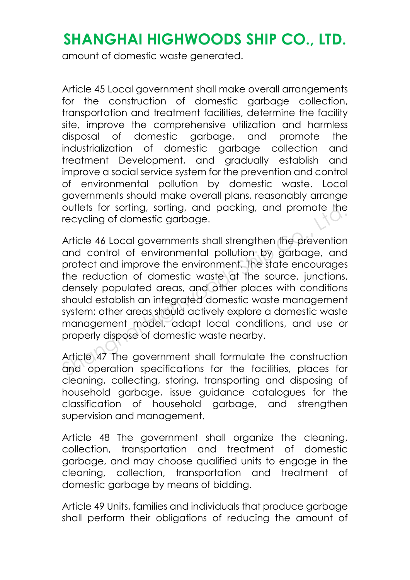amount of domestic waste generated.

Article 45 Local government shall make overall arrangements for the construction of domestic garbage collection, transportation and treatment facilities, determine the facility site, improve the comprehensive utilization and harmless disposal of domestic garbage, and promote the industrialization of domestic garbage collection and treatment Development, and gradually establish and improve a social service system for the prevention and control of environmental pollution by domestic waste. Local governments should make overall plans, reasonably arrange outlets for sorting, sorting, and packing, and promote the recycling of domestic garbage.

Article 46 Local governments shall strengthen the prevention and control of environmental pollution by garbage, and protect and improve the environment. The state encourages the reduction of domestic waste at the source. junctions, densely populated areas, and other places with conditions should establish an integrated domestic waste management system; other areas should actively explore a domestic waste management model, adapt local conditions, and use or properly dispose of domestic waste nearby. outlets for sorting, sorting, and packing, and promote the<br>recycling of domestic garbage.<br>Article 46 Local governments shall strengthen the prevention<br>and control of environmental pollution by garbage, and<br>protect and impr

Article 47 The government shall formulate the construction and operation specifications for the facilities, places for cleaning, collecting, storing, transporting and disposing of household garbage, issue guidance catalogues for the classification of household garbage, and strengthen supervision and management.

Article 48 The government shall organize the cleaning, collection, transportation and treatment of domestic garbage, and may choose qualified units to engage in the cleaning, collection, transportation and treatment of domestic garbage by means of bidding.

Article 49 Units, families and individuals that produce garbage shall perform their obligations of reducing the amount of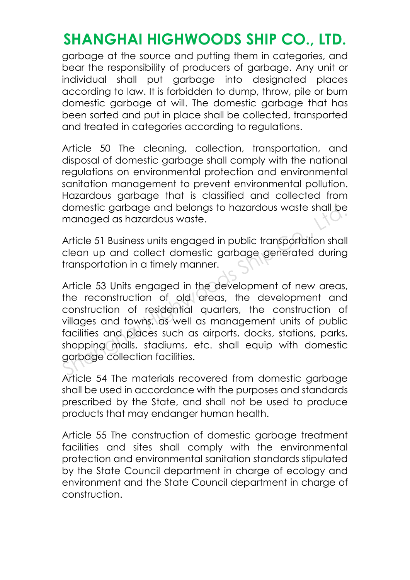garbage at the source and putting them in categories, and bear the responsibility of producers of garbage. Any unit or individual shall put garbage into designated places according to law. It is forbidden to dump, throw, pile or burn domestic garbage at will. The domestic garbage that has been sorted and put in place shall be collected, transported and treated in categories according to regulations.

Article 50 The cleaning, collection, transportation, and disposal of domestic garbage shall comply with the national regulations on environmental protection and environmental sanitation management to prevent environmental pollution. Hazardous garbage that is classified and collected from domestic garbage and belongs to hazardous waste shall be managed as hazardous waste.

Article 51 Business units engaged in public transportation shall clean up and collect domestic garbage generated during transportation in a timely manner.

Article 53 Units engaged in the development of new areas, the reconstruction of old areas, the development and construction of residential quarters, the construction of villages and towns, as well as management units of public facilities and places such as airports, docks, stations, parks, shopping malls, stadiums, etc. shall equip with domestic garbage collection facilities. domestic garbage and belongs to hazardous waste shall be<br>managed as hazardous waste.<br>Article 51 Business units engaged in public transportation shall<br>clean up and collect domestic garbage generated during<br>transportation in

Article 54 The materials recovered from domestic garbage shall be used in accordance with the purposes and standards prescribed by the State, and shall not be used to produce products that may endanger human health.

Article 55 The construction of domestic garbage treatment facilities and sites shall comply with the environmental protection and environmental sanitation standards stipulated by the State Council department in charge of ecology and environment and the State Council department in charge of construction.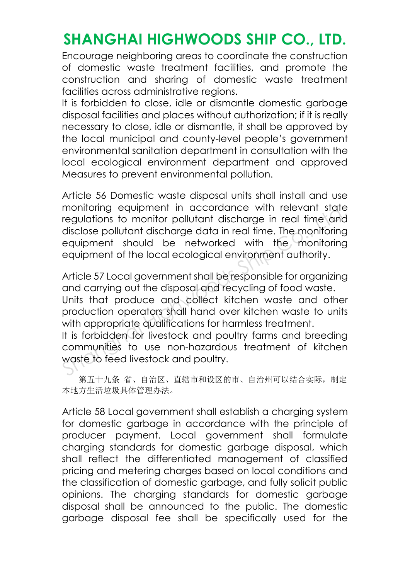Encourage neighboring areas to coordinate the construction of domestic waste treatment facilities, and promote the construction and sharing of domestic waste treatment facilities across administrative regions.

It is forbidden to close, idle or dismantle domestic garbage disposal facilities and places without authorization; if it is really necessary to close, idle or dismantle, it shall be approved by the local municipal and county-level people's government environmental sanitation department in consultation with the local ecological environment department and approved Measures to prevent environmental pollution.

Article 56 Domestic waste disposal units shall install and use monitoring equipment in accordance with relevant state regulations to monitor pollutant discharge in real time and disclose pollutant discharge data in real time. The monitoring equipment should be networked with the monitoring equipment of the local ecological environment authority.

Article 57 Local government shall be responsible for organizing and carrying out the disposal and recycling of food waste. Units that produce and collect kitchen waste and other production operators shall hand over kitchen waste to units with appropriate qualifications for harmless treatment. monitoring equipment in accordance with relevant state<br>regulations to monitor pollutant discharge in real time and<br>disclose pollutant discharge data in real time. The monitoring<br>equipment should be networked with the monit

It is forbidden for livestock and poultry farms and breeding communities to use non-hazardous treatment of kitchen waste to feed livestock and poultry.

第五十九条省、自治区、直辖市和设区的市、自治州可以结合实际,制定 本地方生活垃圾具体管理办法。

Article 58 Local government shall establish a charging system for domestic garbage in accordance with the principle of producer payment. Local government shall formulate charging standards for domestic garbage disposal, which shall reflect the differentiated management of classified pricing and metering charges based on local conditions and the classification of domestic garbage, and fully solicit public opinions. The charging standards for domestic garbage disposal shall be announced to the public. The domestic garbage disposal fee shall be specifically used for the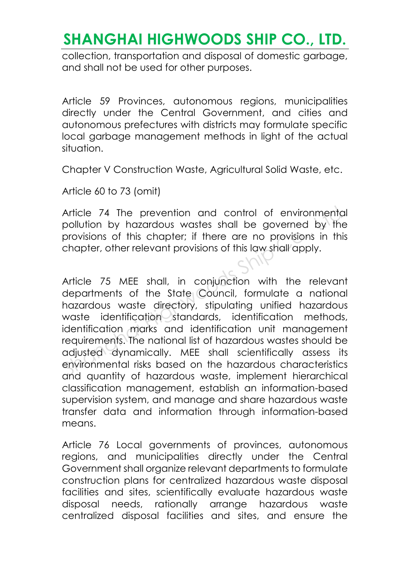collection, transportation and disposal of domestic garbage, and shall not be used for other purposes.

Article 59 Provinces, autonomous regions, municipalities directly under the Central Government, and cities and autonomous prefectures with districts may formulate specific local garbage management methods in light of the actual situation.

Chapter V Construction Waste, Agricultural Solid Waste, etc.

Article 60 to 73 (omit)

Article 74 The prevention and control of environmental pollution by hazardous wastes shall be governed by the provisions of this chapter; if there are no provisions in this chapter, other relevant provisions of this law shall apply.

Article 75 MEE shall, in conjunction with the relevant departments of the State Council, formulate a national hazardous waste directory, stipulating unified hazardous waste identification standards, identification methods, identification marks and identification unit management requirements. The national list of hazardous wastes should be adjusted dynamically. MEE shall scientifically assess its environmental risks based on the hazardous characteristics and quantity of hazardous waste, implement hierarchical classification management, establish an information-based supervision system, and manage and share hazardous waste transfer data and information through information-based means Article 74 The prevention and control of environmental<br>pollution by hazardous wastes shall be governed by the<br>provisions of this chapter; if there are no provisions in this<br>chapter, other relevant provisions of this law sh

Article 76 Local governments of provinces, autonomous regions, and municipalities directly under the Central Government shall organize relevant departments to formulate construction plans for centralized hazardous waste disposal facilities and sites, scientifically evaluate hazardous waste disposal needs, rationally arrange hazardous waste centralized disposal facilities and sites, and ensure the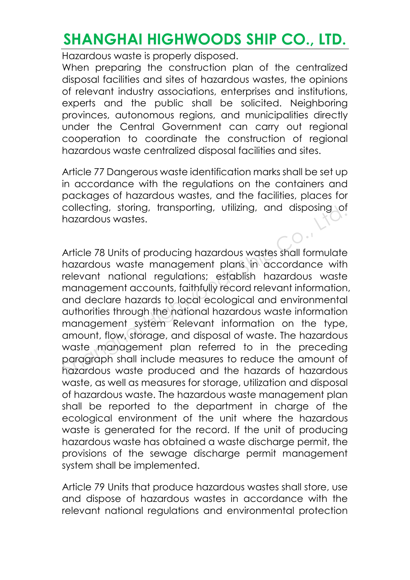Hazardous waste is properly disposed.

When preparing the construction plan of the centralized disposal facilities and sites of hazardous wastes, the opinions of relevant industry associations, enterprises and institutions, experts and the public shall be solicited. Neighboring provinces, autonomous regions, and municipalities directly under the Central Government can carry out regional cooperation to coordinate the construction of regional hazardous waste centralized disposal facilities and sites.

Article 77 Dangerous waste identification marks shall be set up in accordance with the regulations on the containers and packages of hazardous wastes, and the facilities, places for collecting, storing, transporting, utilizing, and disposing of hazardous wastes.

Article 78 Units of producing hazardous wastes shall formulate hazardous waste management plans in accordance with relevant national regulations; establish hazardous waste management accounts, faithfully record relevant information, and declare hazards to local ecological and environmental authorities through the national hazardous waste information management system Relevant information on the type, amount, flow, storage, and disposal of waste. The hazardous waste management plan referred to in the preceding paragraph shall include measures to reduce the amount of hazardous waste produced and the hazards of hazardous waste, as well as measures for storage, utilization and disposal of hazardous waste. The hazardous waste management plan shall be reported to the department in charge of the ecological environment of the unit where the hazardous waste is generated for the record. If the unit of producing hazardous waste has obtained a waste discharge permit, the provisions of the sewage discharge permit management system shall be implemented. collecting, storing, transporting, utilizing, and alsposing of<br>hazardous wastes.<br>Article 78 Units of producing hazardous wastes shall formulate<br>hazardous waste management plans in accordance with<br>relevant national regulati

Article 79 Units that produce hazardous wastes shall store, use and dispose of hazardous wastes in accordance with the relevant national regulations and environmental protection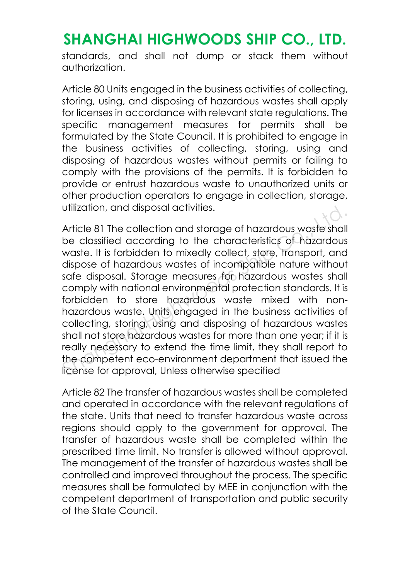standards, and shall not dump or stack them without authorization.

Article 80 Units engaged in the business activities of collecting, storing, using, and disposing of hazardous wastes shall apply for licenses in accordance with relevant state regulations. The specific management measures for permits shall be formulated by the State Council. It is prohibited to engage in the business activities of collecting, storing, using and disposing of hazardous wastes without permits or failing to comply with the provisions of the permits. It is forbidden to provide or entrust hazardous waste to unauthorized units or other production operators to engage in collection, storage, utilization, and disposal activities.

Article 81 The collection and storage of hazardous waste shall be classified according to the characteristics of hazardous waste. It is forbidden to mixedly collect, store, transport, and dispose of hazardous wastes of incompatible nature without safe disposal. Storage measures for hazardous wastes shall comply with national environmental protection standards. It is forbidden to store hazardous waste mixed with nonhazardous waste. Units engaged in the business activities of collecting, storing, using and disposing of hazardous wastes shall not store hazardous wastes for more than one year; if it is really necessary to extend the time limit, they shall report to the competent eco-environment department that issued the license for approval, Unless otherwise specified Utilization, and alsposal activities.<br>
Article 81 The collection and storage of hazardous waste shall<br>
be classified according to the characteristics of hazardous<br>
waste. It is forbidden to mixedly collect, store, transpor

Article 82 The transfer of hazardous wastes shall be completed and operated in accordance with the relevant regulations of the state. Units that need to transfer hazardous waste across regions should apply to the government for approval. The transfer of hazardous waste shall be completed within the prescribed time limit. No transfer is allowed without approval. The management of the transfer of hazardous wastes shall be controlled and improved throughout the process. The specific measures shall be formulated by MEE in conjunction with the competent department of transportation and public security of the State Council.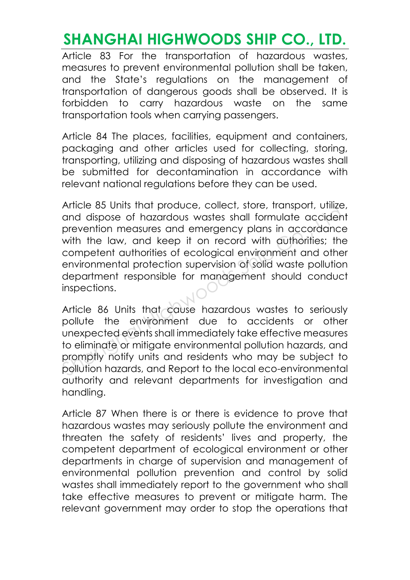Article 83 For the transportation of hazardous wastes, measures to prevent environmental pollution shall be taken, and the State's regulations on the management of transportation of dangerous goods shall be observed. It is forbidden to carry hazardous waste on the same transportation tools when carrying passengers.

Article 84 The places, facilities, equipment and containers, packaging and other articles used for collecting, storing, transporting, utilizing and disposing of hazardous wastes shall be submitted for decontamination in accordance with relevant national regulations before they can be used.

Article 85 Units that produce, collect, store, transport, utilize, and dispose of hazardous wastes shall formulate accident prevention measures and emergency plans in accordance with the law, and keep it on record with authorities; the competent authorities of ecological environment and other environmental protection supervision of solid waste pollution department responsible for management should conduct inspections. Afficie 83 billis intiti produce, collect, store, italisport, billige, and dispose of hazardous wastes shall formulate accident prevention measures and emergency plans in accordance with the law, and keep it on record with

Article 86 Units that cause hazardous wastes to seriously pollute the environment due to accidents or other unexpected events shall immediately take effective measures to eliminate or mitigate environmental pollution hazards, and promptly notify units and residents who may be subject to pollution hazards, and Report to the local eco-environmental authority and relevant departments for investigation and handling.

Article 87 When there is or there is evidence to prove that hazardous wastes may seriously pollute the environment and threaten the safety of residents' lives and property, the competent department of ecological environment or other departments in charge of supervision and management of environmental pollution prevention and control by solid wastes shall immediately report to the government who shall take effective measures to prevent or mitigate harm. The relevant government may order to stop the operations that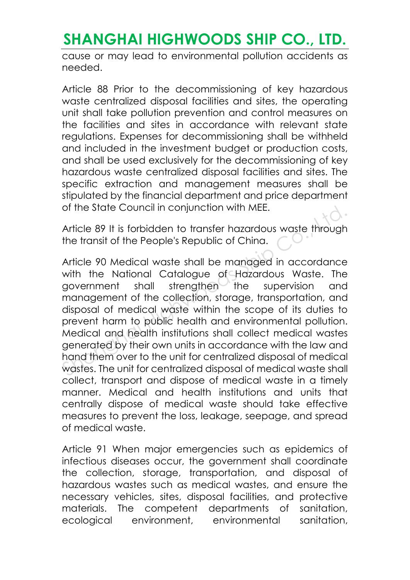cause or may lead to environmental pollution accidents as needed.

Article 88 Prior to the decommissioning of key hazardous waste centralized disposal facilities and sites, the operating unit shall take pollution prevention and control measures on the facilities and sites in accordance with relevant state regulations. Expenses for decommissioning shall be withheld and included in the investment budget or production costs, and shall be used exclusively for the decommissioning of key hazardous waste centralized disposal facilities and sites. The specific extraction and management measures shall be stipulated by the financial department and price department of the State Council in conjunction with MEE.

Article 89 It is forbidden to transfer hazardous waste through the transit of the People's Republic of China.

Article 90 Medical waste shall be managed in accordance with the National Catalogue of Hazardous Waste. The government shall strengthen the supervision and management of the collection, storage, transportation, and disposal of medical waste within the scope of its duties to prevent harm to public health and environmental pollution. Medical and health institutions shall collect medical wastes generated by their own units in accordance with the law and hand them over to the unit for centralized disposal of medical wastes. The unit for centralized disposal of medical waste shall collect, transport and dispose of medical waste in a timely manner. Medical and health institutions and units that centrally dispose of medical waste should take effective measures to prevent the loss, leakage, seepage, and spread of medical waste. or the state Council in conjunction with MEE.<br>Article 89 It is forbidden to transfer hazardous waste through<br>the transit of the People's Republic of China.<br>Article 90 Medical waste shall be managed in accordance<br>with the N

Article 91 When major emergencies such as epidemics of infectious diseases occur, the government shall coordinate the collection, storage, transportation, and disposal of hazardous wastes such as medical wastes, and ensure the necessary vehicles, sites, disposal facilities, and protective materials. The competent departments of sanitation, ecological environment, environmental sanitation,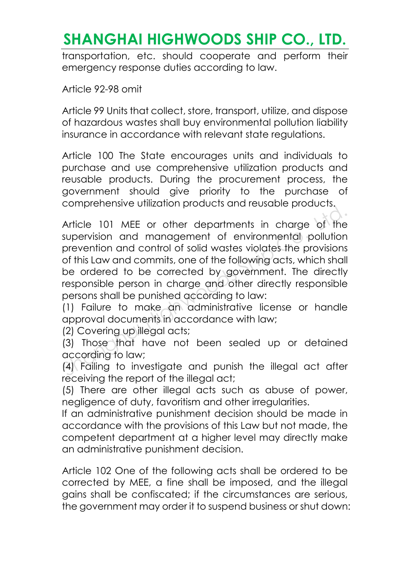transportation, etc. should cooperate and perform their emergency response duties according to law.

Article 92-98 omit

Article 99 Units that collect, store, transport, utilize, and dispose of hazardous wastes shall buy environmental pollution liability insurance in accordance with relevant state regulations.

Article 100 The State encourages units and individuals to purchase and use comprehensive utilization products and reusable products. During the procurement process, the government should give priority to the purchase of comprehensive utilization products and reusable products.

Article 101 MEE or other departments in charge of the supervision and management of environmental pollution prevention and control of solid wastes violates the provisions of this Law and commits, one of the following acts, which shall be ordered to be corrected by government. The directly responsible person in charge and other directly responsible persons shall be punished according to law: Somprononate children prediction and recognize production<br>Article 101 MEE or other departments in charge of the<br>supervision and management of environmental pollution<br>prevention and control of solid wastes violates the prov

(1) Failure to make an administrative license or handle approval documents in accordance with law;

(2) Covering up illegal acts;

(3) Those that have not been sealed up or detained according to law;

(4) Failing to investigate and punish the illegal act after receiving the report of the illegal act;

(5) There are other illegal acts such as abuse of power, negligence of duty, favoritism and other irregularities.

If an administrative punishment decision should be made in accordance with the provisions of this Law but not made, the competent department at a higher level may directly make an administrative punishment decision.

Article 102 One of the following acts shall be ordered to be corrected by MEE, a fine shall be imposed, and the illegal gains shall be confiscated; if the circumstances are serious, the government may order it to suspend business or shut down: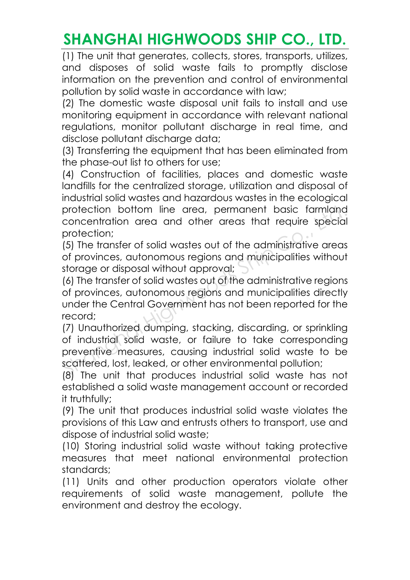(1) The unit that generates, collects, stores, transports, utilizes, and disposes of solid waste fails to promptly disclose information on the prevention and control of environmental pollution by solid waste in accordance with law;

(2) The domestic waste disposal unit fails to install and use monitoring equipment in accordance with relevant national regulations, monitor pollutant discharge in real time, and disclose pollutant discharge data;

(3) Transferring the equipment that has been eliminated from the phase-out list to others for use;

(4) Construction of facilities, places and domestic waste landfills for the centralized storage, utilization and disposal of industrial solid wastes and hazardous wastes in the ecological protection bottom line area, permanent basic farmland concentration area and other areas that require special protection;

(5) The transfer of solid wastes out of the administrative areas of provinces, autonomous regions and municipalities without storage or disposal without approval;

(6) The transfer of solid wastes out of the administrative regions of provinces, autonomous regions and municipalities directly under the Central Government has not been reported for the record;

(7) Unauthorized dumping, stacking, discarding, or sprinkling of industrial solid waste, or failure to take corresponding preventive measures, causing industrial solid waste to be scattered, lost, leaked, or other environmental pollution; protection bottom line area, permanent basic farmland<br>concentration area and other areas that require special<br>protection;<br>(5) The transfer of solid wastes out of the administrative areas<br>of provinces, autonomous regions an

(8) The unit that produces industrial solid waste has not established a solid waste management account or recorded it truthfully;

(9) The unit that produces industrial solid waste violates the provisions of this Law and entrusts others to transport, use and dispose of industrial solid waste;

(10) Storing industrial solid waste without taking protective measures that meet national environmental protection standards;

(11) Units and other production operators violate other requirements of solid waste management, pollute the environment and destroy the ecology.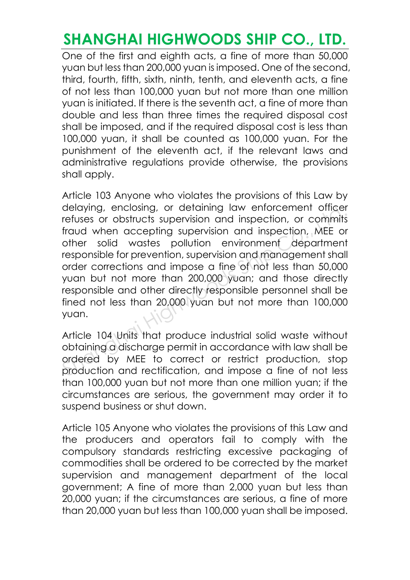One of the first and eighth acts, a fine of more than 50,000 yuan but less than 200,000 yuan is imposed. One of the second, third, fourth, fifth, sixth, ninth, tenth, and eleventh acts, a fine of not less than 100,000 yuan but not more than one million yuan is initiated. If there is the seventh act, a fine of more than double and less than three times the required disposal cost shall be imposed, and if the required disposal cost is less than 100,000 yuan, it shall be counted as 100,000 yuan. For the punishment of the eleventh act, if the relevant laws and administrative regulations provide otherwise, the provisions shall apply.

Article 103 Anyone who violates the provisions of this Law by delaying, enclosing, or detaining law enforcement officer refuses or obstructs supervision and inspection, or commits fraud when accepting supervision and inspection, MEE or other solid wastes pollution environment department responsible for prevention, supervision and management shall order corrections and impose a fine of not less than 50,000 yuan but not more than 200,000 yuan; and those directly responsible and other directly responsible personnel shall be fined not less than 20,000 yuan but not more than 100,000 yuan. delaying, enclosing, or detaining law entorcement otticer<br>refuses or obstructs supervision and inspection, or commits<br>fraud when accepting supervision and inspection, MEE or<br>other solid wastes pollution environment departm

Article 104 Units that produce industrial solid waste without obtaining a discharge permit in accordance with law shall be ordered by MEE to correct or restrict production, stop production and rectification, and impose a fine of not less than 100,000 yuan but not more than one million yuan; if the circumstances are serious, the government may order it to suspend business or shut down.

Article 105 Anyone who violates the provisions of this Law and the producers and operators fail to comply with the compulsory standards restricting excessive packaging of commodities shall be ordered to be corrected by the market supervision and management department of the local government; A fine of more than 2,000 yuan but less than 20,000 yuan; if the circumstances are serious, a fine of more than 20,000 yuan but less than 100,000 yuan shall be imposed.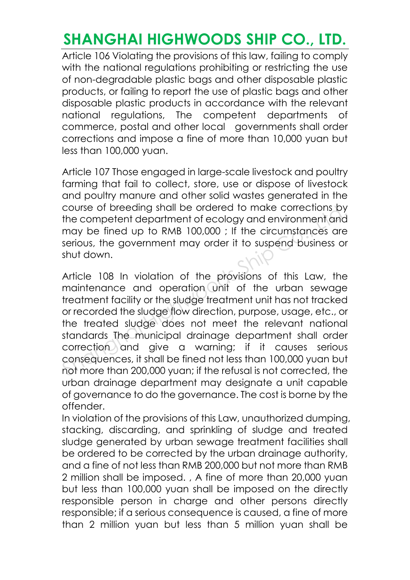Article 106 Violating the provisions of this law, failing to comply with the national regulations prohibiting or restricting the use of non-degradable plastic bags and other disposable plastic products, or failing to report the use of plastic bags and other disposable plastic products in accordance with the relevant national regulations, The competent departments of commerce, postal and other local governments shall order corrections and impose a fine of more than 10,000 yuan but less than 100,000 yuan.

Article 107 Those engaged in large-scale livestock and poultry farming that fail to collect, store, use or dispose of livestock and poultry manure and other solid wastes generated in the course of breeding shall be ordered to make corrections by the competent department of ecology and environment and may be fined up to RMB 100,000 ; If the circumstances are serious, the government may order it to suspend business or shut down.

Article 108 In violation of the provisions of this Law, the maintenance and operation unit of the urban sewage treatment facility or the sludge treatment unit has not tracked or recorded the sludge flow direction, purpose, usage, etc., or the treated sludge does not meet the relevant national standards The municipal drainage department shall order correction and give a warning; if it causes serious consequences, it shall be fined not less than 100,000 yuan but not more than 200,000 yuan; if the refusal is not corrected, the urban drainage department may designate a unit capable of governance to do the governance. The cost is borne by the offender. course of breeding shall be ordered to make corrections by<br>the competent department of ecology and environment and<br>may be fined up to RMB 100,000 ; If the circumstances are<br>serious, the government may order it to suspend b

In violation of the provisions of this Law, unauthorized dumping, stacking, discarding, and sprinkling of sludge and treated sludge generated by urban sewage treatment facilities shall be ordered to be corrected by the urban drainage authority, and a fine of not less than RMB 200,000 but not more than RMB 2 million shall be imposed. , A fine of more than 20,000 yuan but less than 100,000 yuan shall be imposed on the directly responsible person in charge and other persons directly responsible; if a serious consequence is caused, a fine of more than 2 million yuan but less than 5 million yuan shall be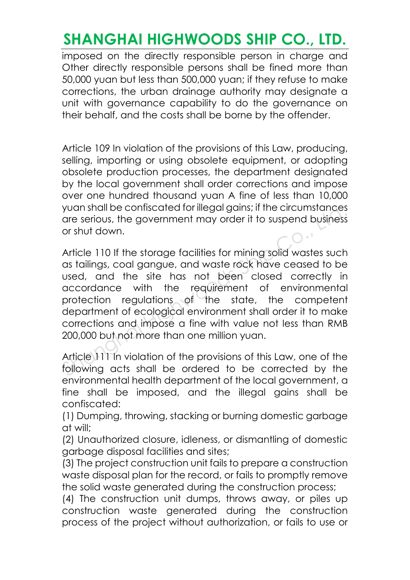imposed on the directly responsible person in charge and Other directly responsible persons shall be fined more than 50,000 yuan but less than 500,000 yuan; if they refuse to make corrections, the urban drainage authority may designate a unit with governance capability to do the governance on their behalf, and the costs shall be borne by the offender.

Article 109 In violation of the provisions of this Law, producing, selling, importing or using obsolete equipment, or adopting obsolete production processes, the department designated by the local government shall order corrections and impose over one hundred thousand yuan A fine of less than 10,000 yuan shall be confiscated for illegal gains; if the circumstances are serious, the government may order it to suspend business or shut down.

Article 110 If the storage facilities for mining solid wastes such as tailings, coal gangue, and waste rock have ceased to be used, and the site has not been closed correctly in accordance with the requirement of environmental protection regulations of the state, the competent department of ecological environment shall order it to make corrections and impose a fine with value not less than RMB 200,000 but not more than one million yuan. yuan shall be coniscated for illegal gains; it the circumstances<br>are serious, the government may order it to suspend business<br>or shut down.<br>Article 110 If the storage facilities for mining solid wastes such<br>as tailings, co

Article 111 In violation of the provisions of this Law, one of the following acts shall be ordered to be corrected by the environmental health department of the local government, a fine shall be imposed, and the illegal gains shall be confiscated:

(1) Dumping, throwing, stacking or burning domestic garbage at will;

(2) Unauthorized closure, idleness, or dismantling of domestic garbage disposal facilities and sites;

(3) The project construction unit fails to prepare a construction waste disposal plan for the record, or fails to promptly remove the solid waste generated during the construction process;

(4) The construction unit dumps, throws away, or piles up construction waste generated during the construction process of the project without authorization, or fails to use or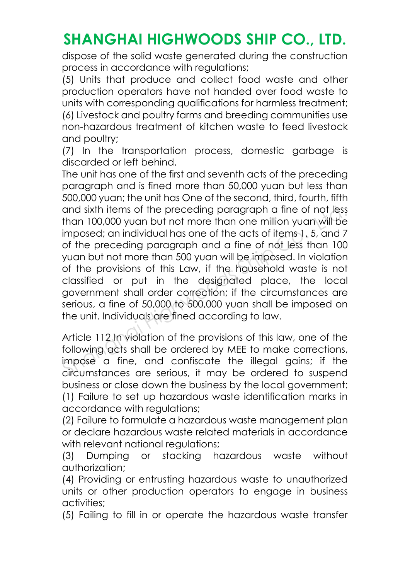dispose of the solid waste generated during the construction process in accordance with regulations;

(5) Units that produce and collect food waste and other production operators have not handed over food waste to units with corresponding qualifications for harmless treatment; (6) Livestock and poultry farms and breeding communities use non-hazardous treatment of kitchen waste to feed livestock and poultry;

(7) In the transportation process, domestic garbage is discarded or left behind.

The unit has one of the first and seventh acts of the preceding paragraph and is fined more than 50,000 yuan but less than 500,000 yuan; the unit has One of the second, third, fourth, fifth and sixth items of the preceding paragraph a fine of not less than 100,000 yuan but not more than one million yuan will be imposed; an individual has one of the acts of items 1, 5, and 7 of the preceding paragraph and a fine of not less than 100 yuan but not more than 500 yuan will be imposed. In violation of the provisions of this Law, if the household waste is not classified or put in the designated place, the local government shall order correction; if the circumstances are serious, a fine of 50,000 to 500,000 yuan shall be imposed on the unit. Individuals are fined according to law. and sixth items of the preceding paragraph a fine of not less<br>than 100,000 yuan but not more than one million yuan will be<br>imposed; an individual has one of the acts of items 1, 5, and 7<br>of the preceding paragraph and a fi

Article 112 In violation of the provisions of this law, one of the following acts shall be ordered by MEE to make corrections, impose a fine, and confiscate the illegal gains; if the circumstances are serious, it may be ordered to suspend business or close down the business by the local government: (1) Failure to set up hazardous waste identification marks in accordance with regulations;

(2) Failure to formulate a hazardous waste management plan or declare hazardous waste related materials in accordance with relevant national regulations;

(3) Dumping or stacking hazardous waste without authorization;

(4) Providing or entrusting hazardous waste to unauthorized units or other production operators to engage in business activities;

(5) Failing to fill in or operate the hazardous waste transfer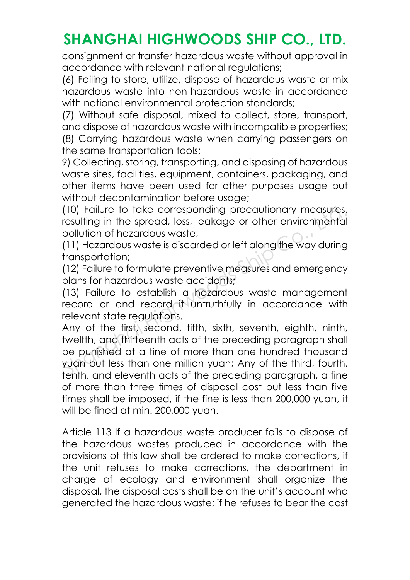consignment or transfer hazardous waste without approval in accordance with relevant national regulations;

(6) Failing to store, utilize, dispose of hazardous waste or mix hazardous waste into non-hazardous waste in accordance with national environmental protection standards;

(7) Without safe disposal, mixed to collect, store, transport, and dispose of hazardous waste with incompatible properties; (8) Carrying hazardous waste when carrying passengers on the same transportation tools;

9) Collecting, storing, transporting, and disposing of hazardous waste sites, facilities, equipment, containers, packaging, and other items have been used for other purposes usage but without decontamination before usage;

(10) Failure to take corresponding precautionary measures, resulting in the spread, loss, leakage or other environmental pollution of hazardous waste;

(11) Hazardous waste is discarded or left along the way during transportation;

(12) Failure to formulate preventive measures and emergency plans for hazardous waste accidents;

(13) Failure to establish a hazardous waste management record or and record it untruthfully in accordance with relevant state regulations.

Any of the first, second, fifth, sixth, seventh, eighth, ninth, twelfth, and thirteenth acts of the preceding paragraph shall be punished at a fine of more than one hundred thousand yuan but less than one million yuan; Any of the third, fourth, tenth, and eleventh acts of the preceding paragraph, a fine of more than three times of disposal cost but less than five times shall be imposed, if the fine is less than 200,000 yuan, it will be fined at min. 200,000 yuan. (10) Failure to take corresponding precautionary measures,<br>resulting in the spread, loss, leakage or other environmental<br>pollution of hazardous waste;<br>(11) Hazardous waste is discarded or left along the way during<br>transpor

Article 113 If a hazardous waste producer fails to dispose of the hazardous wastes produced in accordance with the provisions of this law shall be ordered to make corrections, if the unit refuses to make corrections, the department in charge of ecology and environment shall organize the disposal, the disposal costs shall be on the unit's account who generated the hazardous waste; if he refuses to bear the cost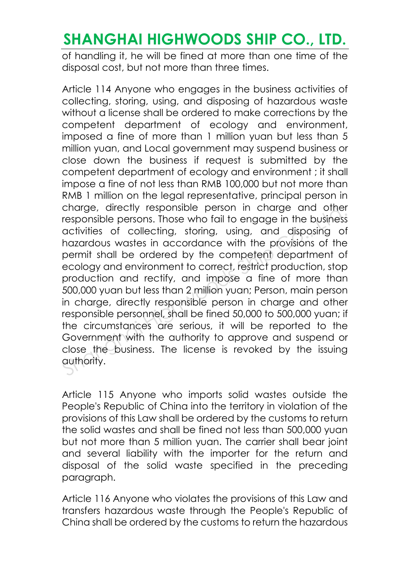of handling it, he will be fined at more than one time of the disposal cost, but not more than three times.

Article 114 Anyone who engages in the business activities of collecting, storing, using, and disposing of hazardous waste without a license shall be ordered to make corrections by the competent department of ecology and environment, imposed a fine of more than 1 million yuan but less than 5 million yuan, and Local government may suspend business or close down the business if request is submitted by the competent department of ecology and environment ; it shall impose a fine of not less than RMB 100,000 but not more than RMB 1 million on the legal representative, principal person in charge, directly responsible person in charge and other responsible persons. Those who fail to engage in the business activities of collecting, storing, using, and disposing of hazardous wastes in accordance with the provisions of the permit shall be ordered by the competent department of ecology and environment to correct, restrict production, stop production and rectify, and impose a fine of more than 500,000 yuan but less than 2 million yuan; Person, main person in charge, directly responsible person in charge and other responsible personnel, shall be fined 50,000 to 500,000 yuan; if the circumstances are serious, it will be reported to the Government with the authority to approve and suspend or close the business. The license is revoked by the issuing authority. charge, directly responsible person in charge and other responsible persons. Those who fail to engage in the business activities of collecting, storing, using, and disposing of hazardous wastes in accordance with the provi

Article 115 Anyone who imports solid wastes outside the People's Republic of China into the territory in violation of the provisions of this Law shall be ordered by the customs to return the solid wastes and shall be fined not less than 500,000 yuan but not more than 5 million yuan. The carrier shall bear joint and several liability with the importer for the return and disposal of the solid waste specified in the preceding paragraph.

Article 116 Anyone who violates the provisions of this Law and transfers hazardous waste through the People's Republic of China shall be ordered by the customs to return the hazardous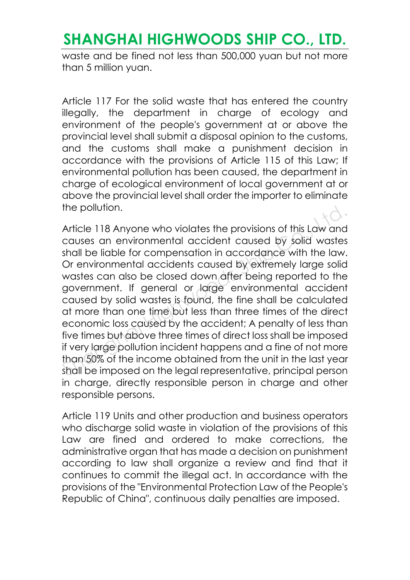waste and be fined not less than 500,000 yuan but not more than 5 million yuan.

Article 117 For the solid waste that has entered the country illegally, the department in charge of ecology and environment of the people's government at or above the provincial level shall submit a disposal opinion to the customs, and the customs shall make a punishment decision in accordance with the provisions of Article 115 of this Law; If environmental pollution has been caused, the department in charge of ecological environment of local government at or above the provincial level shall order the importer to eliminate the pollution.

Article 118 Anyone who violates the provisions of this Law and causes an environmental accident caused by solid wastes shall be liable for compensation in accordance with the law. Or environmental accidents caused by extremely large solid wastes can also be closed down after being reported to the government. If general or large environmental accident caused by solid wastes is found, the fine shall be calculated at more than one time but less than three times of the direct economic loss caused by the accident; A penalty of less than five times but above three times of direct loss shall be imposed if very large pollution incident happens and a fine of not more than 50% of the income obtained from the unit in the last year shall be imposed on the legal representative, principal person in charge, directly responsible person in charge and other responsible persons. The pollution.<br>Article 118 Anyone who violates the provisions of this Law and<br>causes an environmental accident caused by solid wastes<br>shall be liable for compensation in accordance with the law.<br>Or environmental accidents

Article 119 Units and other production and business operators who discharge solid waste in violation of the provisions of this Law are fined and ordered to make corrections, the administrative organ that has made a decision on punishment according to law shall organize a review and find that it continues to commit the illegal act. In accordance with the provisions of the "Environmental Protection Law of the People's Republic of China", continuous daily penalties are imposed.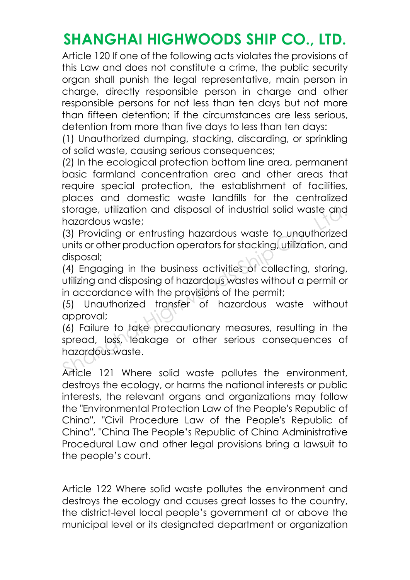Article 120 If one of the following acts violates the provisions of this Law and does not constitute a crime, the public security organ shall punish the legal representative, main person in charge, directly responsible person in charge and other responsible persons for not less than ten days but not more than fifteen detention; if the circumstances are less serious, detention from more than five days to less than ten days:

(1) Unauthorized dumping, stacking, discarding, or sprinkling of solid waste, causing serious consequences;

(2) In the ecological protection bottom line area, permanent basic farmland concentration area and other areas that require special protection, the establishment of facilities, places and domestic waste landfills for the centralized storage, utilization and disposal of industrial solid waste and hazardous waste;

(3) Providing or entrusting hazardous waste to unauthorized units or other production operators for stacking, utilization, and disposal; storage, utilization and disposal of industrial solid waste and<br>hazardous waste;<br>(3) Providing or entrusting hazardous waste to unauthorized<br>units or other production operators for stacking, utilization, and<br>disposal;<br>(4)

(4) Engaging in the business activities of collecting, storing, utilizing and disposing of hazardous wastes without a permit or in accordance with the provisions of the permit;

(5) Unauthorized transfer of hazardous waste without approval;

(6) Failure to take precautionary measures, resulting in the spread, loss, leakage or other serious consequences of hazardous waste.

Article 121 Where solid waste pollutes the environment, destroys the ecology, or harms the national interests or public interests, the relevant organs and organizations may follow the "Environmental Protection Law of the People's Republic of China", "Civil Procedure Law of the People's Republic of China", "China The People's Republic of China Administrative Procedural Law and other legal provisions bring a lawsuit to the people's court.

Article 122 Where solid waste pollutes the environment and destroys the ecology and causes great losses to the country, the district-level local people's government at or above the municipal level or its designated department or organization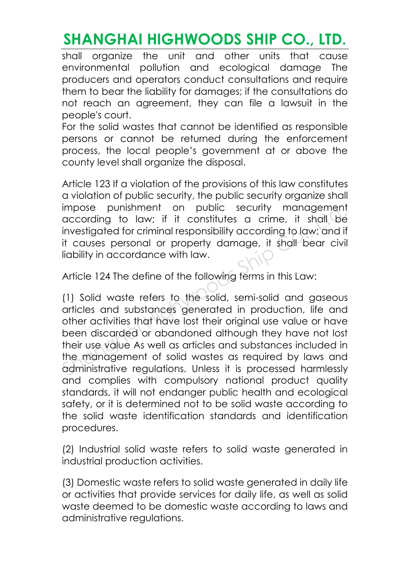shall organize the unit and other units that cause environmental pollution and ecological damage The producers and operators conduct consultations and require them to bear the liability for damages; if the consultations do not reach an agreement, they can file a lawsuit in the people's court.

For the solid wastes that cannot be identified as responsible persons or cannot be returned during the enforcement process, the local people's government at or above the county level shall organize the disposal.

Article 123 If a violation of the provisions of this law constitutes a violation of public security, the public security organize shall impose punishment on public security management according to law; if it constitutes a crime, it shall be investigated for criminal responsibility according to law; and if it causes personal or property damage, it shall bear civil liability in accordance with law.

Article 124 The define of the following terms in this Law:

(1) Solid waste refers to the solid, semi-solid and gaseous articles and substances generated in production, life and other activities that have lost their original use value or have been discarded or abandoned although they have not lost their use value As well as articles and substances included in the management of solid wastes as required by laws and administrative regulations. Unless it is processed harmlessly and complies with compulsory national product quality standards, it will not endanger public health and ecological safety, or it is determined not to be solid waste according to the solid waste identification standards and identification procedures. impose punishment on public security management<br>according to law; if it constitutes a crime, it shall be<br>investigated for criminal responsibility according to law; and if<br>it causes personal or property damage, it shall bea

(2) Industrial solid waste refers to solid waste generated in industrial production activities.

(3) Domestic waste refers to solid waste generated in daily life or activities that provide services for daily life, as well as solid waste deemed to be domestic waste according to laws and administrative regulations.